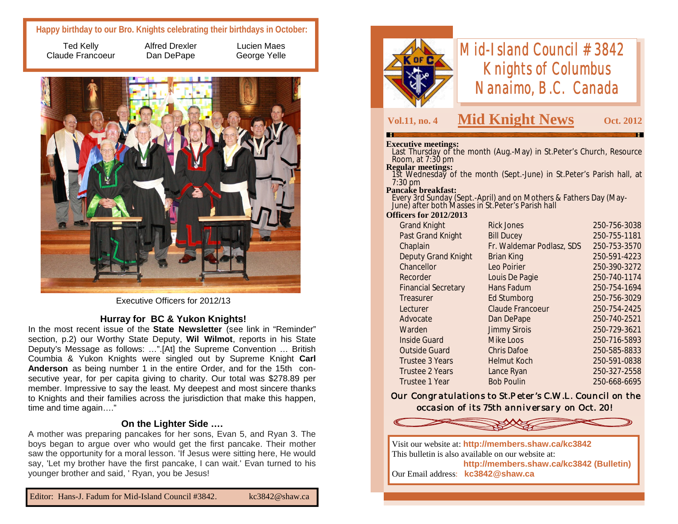# **Happy birthday to our Bro. Knights celebrating their birthdays in October:**

Ted Kelly Claude Francoeur Alfred Drexler Dan DePape

Lucien Maes George Yelle



Executive Officers for 2012/13

# **Hurray for BC & Yukon Knights!**

In the most recent issue of the **State Newsletter** (see link in "Reminder" section, p.2) our Worthy State Deputy, **Wil Wilmot**, reports in his State Deputy's Message as follows: …".[At] the Supreme Convention … British Coumbia & Yukon Knights were singled out by Supreme Knight **Carl Anderson** as being number 1 in the entire Order, and for the 15th consecutive year, for per capita giving to charity. Our total was \$278.89 per member. Impressive to say the least. My deepest and most sincere thanks to Knights and their families across the jurisdiction that make this happen, time and time again…."

### **On the Lighter Side ….**

A mother was preparing pancakes for her sons, Evan 5, and Ryan 3. The boys began to argue over who would get the first pancake. Their mother saw the opportunity for a moral lesson. 'If Jesus were sitting here, He would say, 'Let my brother have the first pancake, I can wait.' Evan turned to his younger brother and said, ' Ryan, you be Jesus!



# *Mid-Island Council #3842 Knights of Columbus Nanaimo, B.C. Canada*

# **Vol.11, no. 4 Mid Knight News Oct. 2012**

#### **Executive meetings:**

 Last Thursday of the month (Aug.-May) in St.Peter's Church, Resource Room, at 7:30 pm

#### **Regular meetings:**

 1st Wednesday of the month (Sept.-June) in St.Peter's Parish hall, at 7:30 pm

#### **Pancake breakfast:**

 Every 3rd Sunday (Sept.-April) and on Mothers & Fathers Day (May-June) after both Masses in St.Peter's Parish hall

#### **Officers for 2012/2013**

| <b>Grand Knight</b>        | <b>Rick Jones</b>         | 250-756-3038 |
|----------------------------|---------------------------|--------------|
| Past Grand Knight          | <b>Bill Ducey</b>         | 250-755-1181 |
| Chaplain                   | Fr. Waldemar Podlasz, SDS | 250-753-3570 |
| <b>Deputy Grand Knight</b> | <b>Brian King</b>         | 250-591-4223 |
| Chancellor                 | Leo Poirier               | 250-390-3272 |
| Recorder                   | Louis De Pagie            | 250-740-1174 |
| <b>Financial Secretary</b> | Hans Fadum                | 250-754-1694 |
| Treasurer                  | <b>Ed Stumborg</b>        | 250-756-3029 |
| Lecturer                   | <b>Claude Francoeur</b>   | 250-754-2425 |
| Advocate                   | Dan DePape                | 250-740-2521 |
| Warden                     | <b>Jimmy Sirois</b>       | 250-729-3621 |
| <b>Inside Guard</b>        | Mike Loos                 | 250-716-5893 |
| <b>Outside Guard</b>       | <b>Chris Dafoe</b>        | 250-585-8833 |
| Trustee 3 Years            | <b>Helmut Koch</b>        | 250-591-0838 |
| <b>Trustee 2 Years</b>     | Lance Ryan                | 250-327-2558 |
| Trustee 1 Year             | <b>Bob Poulin</b>         | 250-668-6695 |

*Our Congratulations to St.Peter's C.W.L. Council on the occasion of its 75th anniversary on Oct. 20!*